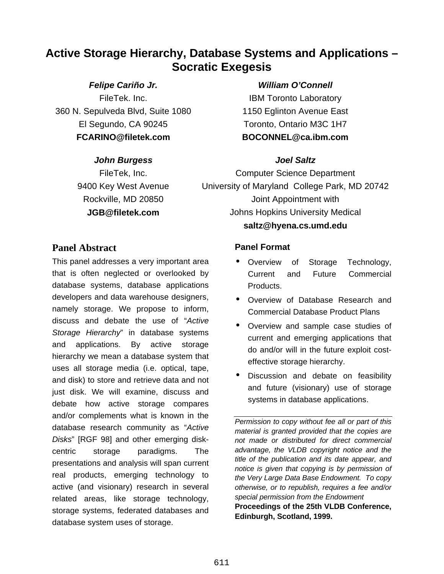# **Active Storage Hierarchy, Database Systems and Applications – Socratic Exegesis**

*Felipe Cariño Jr.*

FileTek. Inc. 360 N. Sepulveda Blvd, Suite 1080 El Segundo, CA 90245 **FCARINO@filetek.com**

#### *John Burgess*

FileTek, Inc. 9400 Key West Avenue Rockville, MD 20850 **JGB@filetek.com**

### *William O'Connell*

IBM Toronto Laboratory 1150 Eglinton Avenue East Toronto, Ontario M3C 1H7 **BOCONNEL@ca.ibm.com**

## *Joel Saltz*

Computer Science Department University of Maryland College Park, MD 20742 Joint Appointment with Johns Hopkins University Medical **saltz@hyena.cs.umd.edu**

## **Panel Abstract**

This panel addresses a very important area that is often neglected or overlooked by database systems, database applications developers and data warehouse designers, namely storage. We propose to inform, discuss and debate the use of "*Active Storage Hierarchy*" in database systems and applications. By active storage hierarchy we mean a database system that uses all storage media (i.e. optical, tape, and disk) to store and retrieve data and not just disk. We will examine, discuss and debate how active storage compares and/or complements what is known in the database research community as "*Active Disks*" [RGF 98] and other emerging diskcentric storage paradigms. The presentations and analysis will span current real products, emerging technology to active (and visionary) research in several related areas, like storage technology, storage systems, federated databases and database system uses of storage.

## **Panel Format**

- Overview of Storage Technology, Current and Future Commercial Products.
- Overview of Database Research and Commercial Database Product Plans
- Overview and sample case studies of current and emerging applications that do and/or will in the future exploit costeffective storage hierarchy.
- Discussion and debate on feasibility and future (visionary) use of storage systems in database applications.

*Permission to copy without fee all or part of this material is granted provided that the copies are not made or distributed for direct commercial advantage, the VLDB copyright notice and the title of the publication and its date appear, and notice is given that copying is by permission of the Very Large Data Base Endowment. To copy otherwise, or to republish, requires a fee and/or special permission from the Endowment* **Proceedings of the 25th VLDB Conference, Edinburgh, Scotland, 1999.**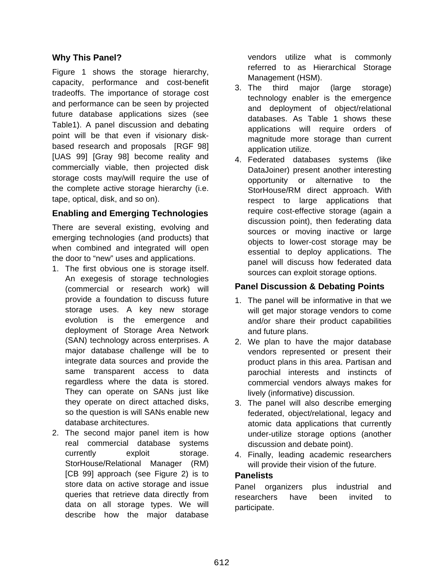## **Why This Panel?**

Figure 1 shows the storage hierarchy, capacity, performance and cost-benefit tradeoffs. The importance of storage cost and performance can be seen by projected future database applications sizes (see Table1). A panel discussion and debating point will be that even if visionary diskbased research and proposals [RGF 98] [UAS 99] [Gray 98] become reality and commercially viable, then projected disk storage costs may/will require the use of the complete active storage hierarchy (i.e. tape, optical, disk, and so on).

## **Enabling and Emerging Technologies**

There are several existing, evolving and emerging technologies (and products) that when combined and integrated will open the door to "new" uses and applications.

- 1. The first obvious one is storage itself. An exegesis of storage technologies (commercial or research work) will provide a foundation to discuss future storage uses. A key new storage evolution is the emergence and deployment of Storage Area Network (SAN) technology across enterprises. A major database challenge will be to integrate data sources and provide the same transparent access to data regardless where the data is stored. They can operate on SANs just like they operate on direct attached disks, so the question is will SANs enable new database architectures.
- 2. The second major panel item is how real commercial database systems currently exploit storage. StorHouse/Relational Manager (RM) [CB 99] approach (see Figure 2) is to store data on active storage and issue queries that retrieve data directly from data on all storage types. We will describe how the major database

vendors utilize what is commonly referred to as Hierarchical Storage Management (HSM).

- 3. The third major (large storage) technology enabler is the emergence and deployment of object/relational databases. As Table 1 shows these applications will require orders of magnitude more storage than current application utilize.
- 4. Federated databases systems (like DataJoiner) present another interesting opportunity or alternative to the StorHouse/RM direct approach. With respect to large applications that require cost-effective storage (again a discussion point), then federating data sources or moving inactive or large objects to lower-cost storage may be essential to deploy applications. The panel will discuss how federated data sources can exploit storage options.

## **Panel Discussion & Debating Points**

- 1. The panel will be informative in that we will get major storage vendors to come and/or share their product capabilities and future plans.
- 2. We plan to have the major database vendors represented or present their product plans in this area. Partisan and parochial interests and instincts of commercial vendors always makes for lively (informative) discussion.
- 3. The panel will also describe emerging federated, object/relational, legacy and atomic data applications that currently under-utilize storage options (another discussion and debate point).
- 4. Finally, leading academic researchers will provide their vision of the future.

## **Panelists**

Panel organizers plus industrial and researchers have been invited to participate.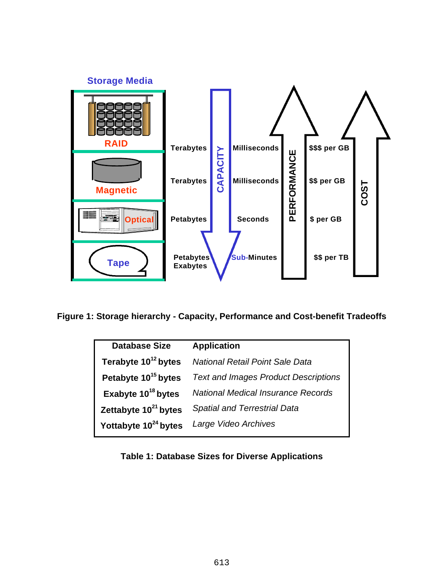

**Figure 1: Storage hierarchy - Capacity, Performance and Cost-benefit Tradeoffs**

| <b>Database Size</b>             | <b>Application</b>                          |
|----------------------------------|---------------------------------------------|
| Terabyte 10 <sup>12</sup> bytes  | <b>National Retail Point Sale Data</b>      |
| Petabyte 10 <sup>15</sup> bytes  | <b>Text and Images Product Descriptions</b> |
| Exabyte 10 <sup>18</sup> bytes   | <b>National Medical Insurance Records</b>   |
| Zettabyte 10 <sup>21</sup> bytes | <b>Spatial and Terrestrial Data</b>         |
| Yottabyte 10 <sup>24</sup> bytes | Large Video Archives                        |

# **Table 1: Database Sizes for Diverse Applications**